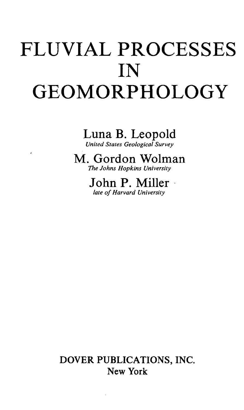# FLUVIAL PROCESSES IN GEOMORPHOLOGY

Luna B. Leopold *United Stales Geological Survey*

M. Gordon Wolman *The Johns Hopkins University*

> John P. Miller *late of Harvard University*

DOVER PUBLICATIONS, INC. New York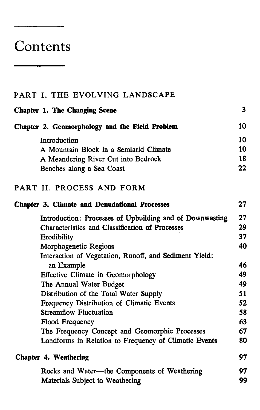## **Contents**

### PART I. THE EVOLVING LANDSCAPE Chapter 1. The Changing Scene 3 Chapter 2. Geomorphology **and the Field Problem** 10

| Introduction                           | 10 |
|----------------------------------------|----|
| A Mountain Block in a Semiarid Climate | 10 |
| A Meandering River Cut into Bedrock    | 18 |
| Benches along a Sea Coast              | 22 |

#### PART II. PROCESS AND FORM

| <b>Chapter 3. Climate and Denudational Processes</b>     | 27 |
|----------------------------------------------------------|----|
| Introduction: Processes of Upbuilding and of Downwasting | 27 |
| <b>Characteristics and Classification of Processes</b>   | 29 |
| Erodibility                                              | 37 |
| Morphogenetic Regions                                    | 40 |
| Interaction of Vegetation, Runoff, and Sediment Yield:   |    |
| an Example                                               | 46 |
| Effective Climate in Geomorphology                       | 49 |
| The Annual Water Budget                                  | 49 |
| Distribution of the Total Water Supply                   | 51 |
| Frequency Distribution of Climatic Events                | 52 |
| <b>Streamflow Fluctuation</b>                            | 58 |
| Flood Frequency                                          | 63 |
| The Frequency Concept and Geomorphic Processes           | 67 |
| Landforms in Relation to Frequency of Climatic Events    | 80 |
| <b>Chapter 4. Weathering</b>                             | 97 |
| Rocks and Water-the Components of Weathering             | 97 |
| Materials Subject to Weathering                          | 99 |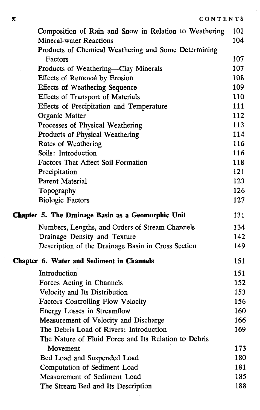| Composition of Rain and Snow in Relation to Weathering | 101 |
|--------------------------------------------------------|-----|
| <b>Mineral-water Reactions</b>                         | 104 |
| Products of Chemical Weathering and Some Determining   |     |
| Factors                                                | 107 |
| Products of Weathering-Clay Minerals                   | 107 |
| Effects of Removal by Erosion                          | 108 |
| <b>Effects of Weathering Sequence</b>                  | 109 |
| <b>Effects of Transport of Materials</b>               | 110 |
| Effects of Precipitation and Temperature               | 111 |
| Organic Matter                                         | 112 |
| Processes of Physical Weathering                       | 113 |
| Products of Physical Weathering                        | 114 |
| Rates of Weathering                                    | 116 |
| Soils: Introduction                                    | 116 |
| Factors That Affect Soil Formation                     | 118 |
| Precipitation                                          | 121 |
| Parent Material                                        | 123 |
| Topography                                             | 126 |
| <b>Biologic Factors</b>                                | 127 |
| Chapter 5. The Drainage Basin as a Geomorphic Unit     | 131 |
| Numbers, Lengths, and Orders of Stream Channels        | 134 |
| Drainage Density and Texture                           | 142 |
| Description of the Drainage Basin in Cross Section     | 149 |
| Chapter 6. Water and Sediment in Channels              | 151 |
| Introduction                                           | 151 |
| Forces Acting in Channels                              | 152 |
| Velocity and Its Distribution                          | 153 |
| Factors Controlling Flow Velocity                      | 156 |
| Energy Losses in Streamflow                            | 160 |
| Measurement of Velocity and Discharge                  | 166 |
| The Debris Load of Rivers: Introduction                | 169 |
| The Nature of Fluid Force and Its Relation to Debris   |     |
| Movement                                               | 173 |
| Bed Load and Suspended Load                            |     |
|                                                        | 180 |
| Computation of Sediment Load                           | 181 |
| Measurement of Sediment Load                           | 185 |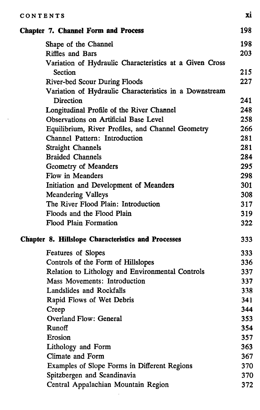| CONTENTS                                                  | Xì. |
|-----------------------------------------------------------|-----|
| <b>Chapter 7. Channel Form and Process</b>                | 198 |
| Shape of the Channel                                      | 198 |
| Riffles and Bars                                          | 203 |
| Variation of Hydraulic Characteristics at a Given Cross   |     |
| Section                                                   | 215 |
| <b>River-bed Scour During Floods</b>                      | 227 |
| Variation of Hydraulic Characteristics in a Downstream    |     |
| Direction                                                 | 241 |
| Longitudinal Profile of the River Channel                 | 248 |
| Observations on Artificial Base Level                     | 258 |
| Equilibrium, River Profiles, and Channel Geometry         | 266 |
| Channel Pattern: Introduction                             | 281 |
| <b>Straight Channels</b>                                  | 281 |
| <b>Braided Channels</b>                                   | 284 |
| Geometry of Meanders                                      | 295 |
| Flow in Meanders                                          | 298 |
| Initiation and Development of Meanders                    | 301 |
| <b>Meandering Valleys</b>                                 | 308 |
| The River Flood Plain: Introduction                       | 317 |
| Floods and the Flood Plain                                | 319 |
| <b>Flood Plain Formation</b>                              | 322 |
| <b>Chapter 8. Hillslope Characteristics and Processes</b> | 333 |
| Features of Slopes                                        | 333 |
| Controls of the Form of Hillslopes                        | 336 |
| Relation to Lithology and Environmental Controls          | 337 |
| Mass Movements: Introduction                              | 337 |
| Landslides and Rockfalls                                  | 338 |
| Rapid Flows of Wet Debris                                 | 341 |
| Creep                                                     | 344 |
| <b>Overland Flow: General</b>                             | 353 |
| Runoff                                                    | 354 |
| Erosion                                                   | 357 |
| Lithology and Form                                        | 363 |
| Climate and Form                                          | 367 |
| Examples of Slope Forms in Different Regions              | 370 |
| Spitzbergen and Scandinavia                               | 370 |
| Central Appalachian Mountain Region                       | 372 |
|                                                           |     |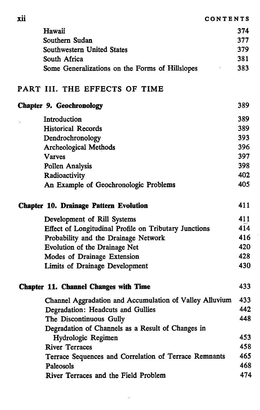**Xll CONTENTS**

| Hawaii                                          | 374 |
|-------------------------------------------------|-----|
| Southern Sudan                                  | 377 |
| Southwestern United States                      | 379 |
| South Africa                                    | 381 |
| Some Generalizations on the Forms of Hillslopes | 383 |

#### PART III. THE EFFECTS OF TIME

| Chapter 9. Geochronology                                | 389 |
|---------------------------------------------------------|-----|
| Introduction                                            | 389 |
| <b>Historical Records</b>                               | 389 |
| Dendrochronology                                        | 393 |
| <b>Archeological Methods</b>                            | 396 |
| <b>Varves</b>                                           | 397 |
| Pollen Analysis                                         | 398 |
| Radioactivity                                           | 402 |
| An Example of Geochronologic Problems                   | 405 |
| <b>Chapter 10. Drainage Pattern Evolution</b>           | 411 |
| Development of Rill Systems                             | 411 |
| Effect of Longitudinal Profile on Tributary Junctions   | 414 |
| Probability and the Drainage Network                    | 416 |
| Evolution of the Drainage Net                           | 420 |
| Modes of Drainage Extension                             | 428 |
| Limits of Drainage Development                          | 430 |
| <b>Chapter 11. Channel Changes with Time</b>            | 433 |
| Channel Aggradation and Accumulation of Valley Alluvium | 433 |
| Degradation: Headcuts and Gullies                       | 442 |
| The Discontinuous Gully                                 | 448 |
| Degradation of Channels as a Result of Changes in       |     |
| Hydrologic Regimen                                      | 453 |
| <b>River Terraces</b>                                   | 458 |
| Terrace Sequences and Correlation of Terrace Remnants   | 465 |
| Paleosols                                               | 468 |
| River Terraces and the Field Problem                    | 474 |

Ŷ.